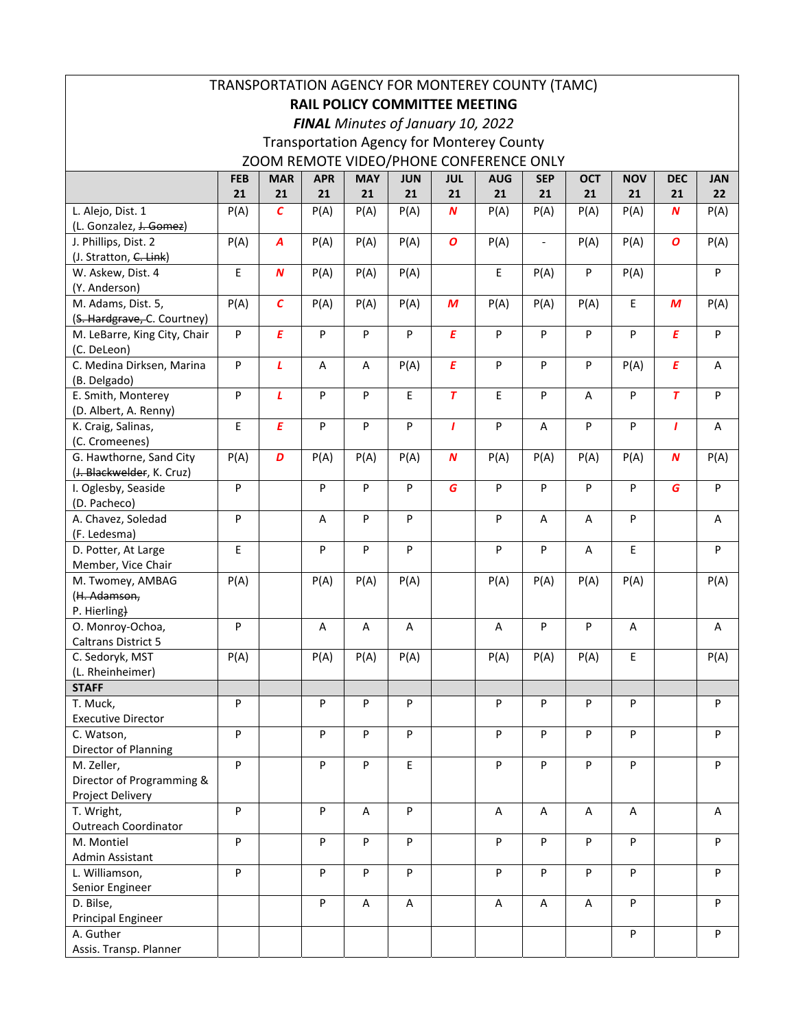| TRANSPORTATION AGENCY FOR MONTEREY COUNTY (TAMC)     |            |                  |            |            |                           |                  |            |                          |            |            |                  |                           |
|------------------------------------------------------|------------|------------------|------------|------------|---------------------------|------------------|------------|--------------------------|------------|------------|------------------|---------------------------|
| <b>RAIL POLICY COMMITTEE MEETING</b>                 |            |                  |            |            |                           |                  |            |                          |            |            |                  |                           |
| FINAL Minutes of January 10, 2022                    |            |                  |            |            |                           |                  |            |                          |            |            |                  |                           |
| <b>Transportation Agency for Monterey County</b>     |            |                  |            |            |                           |                  |            |                          |            |            |                  |                           |
| ZOOM REMOTE VIDEO/PHONE CONFERENCE ONLY              |            |                  |            |            |                           |                  |            |                          |            |            |                  |                           |
|                                                      | <b>FEB</b> | <b>MAR</b>       | <b>APR</b> | <b>MAY</b> | <b>JUN</b>                | <b>JUL</b>       | <b>AUG</b> | <b>SEP</b>               | <b>OCT</b> | <b>NOV</b> | <b>DEC</b>       | <b>JAN</b>                |
|                                                      | 21         | 21               | 21         | 21         | 21                        | 21               | 21         | 21                       | 21         | 21         | 21               | $22 \overline{ }$         |
| L. Alejo, Dist. 1                                    | P(A)       | С                | P(A)       | P(A)       | P(A)                      | N                | P(A)       | P(A)                     | P(A)       | P(A)       | N                | P(A)                      |
| (L. Gonzalez, J. Gomez)                              |            |                  |            |            |                           |                  |            |                          |            |            |                  |                           |
| J. Phillips, Dist. 2                                 | P(A)       | A                | P(A)       | P(A)       | P(A)                      | $\boldsymbol{o}$ | P(A)       | $\overline{\phantom{a}}$ | P(A)       | P(A)       | $\boldsymbol{o}$ | P(A)                      |
| (J. Stratton, C. Link)                               |            |                  |            |            |                           |                  |            |                          |            |            |                  |                           |
| W. Askew, Dist. 4                                    | E          | $\boldsymbol{N}$ | P(A)       | P(A)       | P(A)                      |                  | E          | P(A)                     | P          | P(A)       |                  | $\boldsymbol{\mathsf{P}}$ |
| (Y. Anderson)                                        |            |                  |            |            |                           |                  |            |                          |            |            |                  |                           |
| M. Adams, Dist. 5,                                   | P(A)       | $\mathcal{C}$    | P(A)       | P(A)       | P(A)                      | M                | P(A)       | P(A)                     | P(A)       | E          | M                | P(A)                      |
| (S. Hardgrave, C. Courtney)                          |            |                  |            |            |                           |                  |            |                          |            |            |                  |                           |
| M. LeBarre, King City, Chair                         | P          | E                | P          | P          | $\overline{P}$            | E                | P          | P                        | P          | P          | E                | $\sf P$                   |
| (C. DeLeon)                                          |            |                  |            |            |                           |                  |            |                          |            |            |                  |                           |
| C. Medina Dirksen, Marina                            | P          | L                | Α          | Α          | P(A)                      | E                | P          | P                        | P          | P(A)       | E                | Α                         |
| (B. Delgado)                                         |            |                  |            |            |                           |                  |            |                          |            |            |                  |                           |
| E. Smith, Monterey                                   | P          | L                | P          | P          | E                         | $\overline{T}$   | E          | P                        | A          | P          | $\overline{T}$   | P                         |
| (D. Albert, A. Renny)                                |            |                  |            |            |                           |                  |            |                          |            |            |                  |                           |
| K. Craig, Salinas,                                   | E          | E                | P          | P          | ${\sf P}$                 | $\mathbf{I}$     | ${\sf P}$  | Α                        | P          | P          | $\mathbf{I}$     | Α                         |
| (C. Cromeenes)                                       |            | D                |            |            |                           | $\boldsymbol{N}$ |            |                          |            |            |                  |                           |
| G. Hawthorne, Sand City<br>(J. Blackwelder, K. Cruz) | P(A)       |                  | P(A)       | P(A)       | P(A)                      |                  | P(A)       | P(A)                     | P(A)       | P(A)       | $\boldsymbol{N}$ | P(A)                      |
| I. Oglesby, Seaside                                  | P          |                  | $\sf P$    | P          | $\sf P$                   | G                | P          | P                        | P          | P          | G                | ${\sf P}$                 |
| (D. Pacheco)                                         |            |                  |            |            |                           |                  |            |                          |            |            |                  |                           |
| A. Chavez, Soledad                                   | P          |                  | Α          | P          | ${\sf P}$                 |                  | P          | A                        | Α          | P          |                  | Α                         |
| (F. Ledesma)                                         |            |                  |            |            |                           |                  |            |                          |            |            |                  |                           |
| D. Potter, At Large                                  | E          |                  | P          | P          | $\sf P$                   |                  | ${\sf P}$  | P                        | A          | E          |                  | ${\sf P}$                 |
| Member, Vice Chair                                   |            |                  |            |            |                           |                  |            |                          |            |            |                  |                           |
| M. Twomey, AMBAG                                     | P(A)       |                  | P(A)       | P(A)       | P(A)                      |                  | P(A)       | P(A)                     | P(A)       | P(A)       |                  | P(A)                      |
| (H. Adamson,                                         |            |                  |            |            |                           |                  |            |                          |            |            |                  |                           |
| P. Hierling)                                         |            |                  |            |            |                           |                  |            |                          |            |            |                  |                           |
| O. Monroy-Ochoa,                                     | P          |                  | Α          | Α          | Α                         |                  | A          | P                        | P          | Α          |                  | Α                         |
| Caltrans District 5                                  |            |                  |            |            |                           |                  |            |                          |            |            |                  |                           |
| C. Sedoryk, MST                                      | P(A)       |                  | P(A)       | P(A)       | P(A)                      |                  | P(A)       | P(A)                     | P(A)       | Е          |                  | P(A)                      |
| (L. Rheinheimer)                                     |            |                  |            |            |                           |                  |            |                          |            |            |                  |                           |
| <b>STAFF</b>                                         |            |                  |            |            |                           |                  |            |                          |            |            |                  |                           |
| T. Muck,                                             | P          |                  | P          | P          | P                         |                  | P          | P                        | P          | P          |                  | P                         |
| <b>Executive Director</b>                            |            |                  |            |            |                           |                  |            |                          |            |            |                  |                           |
| C. Watson,                                           | P          |                  | P          | P          | P                         |                  | P          | P                        | P          | P          |                  | P                         |
| Director of Planning                                 |            |                  |            |            |                           |                  |            |                          |            |            |                  |                           |
| M. Zeller,                                           | P          |                  | P          | P          | $\mathsf E$               |                  | ${\sf P}$  | P                        | P          | P          |                  | P                         |
| Director of Programming &                            |            |                  |            |            |                           |                  |            |                          |            |            |                  |                           |
| Project Delivery                                     |            |                  |            |            |                           |                  |            |                          |            |            |                  |                           |
| T. Wright,                                           | P          |                  | P          | Α          | P                         |                  | A          | Α                        | Α          | Α          |                  | A                         |
| <b>Outreach Coordinator</b><br>M. Montiel            | P          |                  | ${\sf P}$  | P          | $\boldsymbol{\mathsf{P}}$ |                  | P          | P                        | P          | P          |                  | $\boldsymbol{\mathsf{P}}$ |
| Admin Assistant                                      |            |                  |            |            |                           |                  |            |                          |            |            |                  |                           |
| L. Williamson,                                       | P          |                  | ${\sf P}$  | P          | P                         |                  | P          | P                        | P          | P          |                  | P                         |
| Senior Engineer                                      |            |                  |            |            |                           |                  |            |                          |            |            |                  |                           |
| D. Bilse,                                            |            |                  | P          | A          | Α                         |                  | Α          | Α                        | A          | P          |                  | ${\sf P}$                 |
| <b>Principal Engineer</b>                            |            |                  |            |            |                           |                  |            |                          |            |            |                  |                           |
| A. Guther                                            |            |                  |            |            |                           |                  |            |                          |            | P          |                  | P                         |
| Assis. Transp. Planner                               |            |                  |            |            |                           |                  |            |                          |            |            |                  |                           |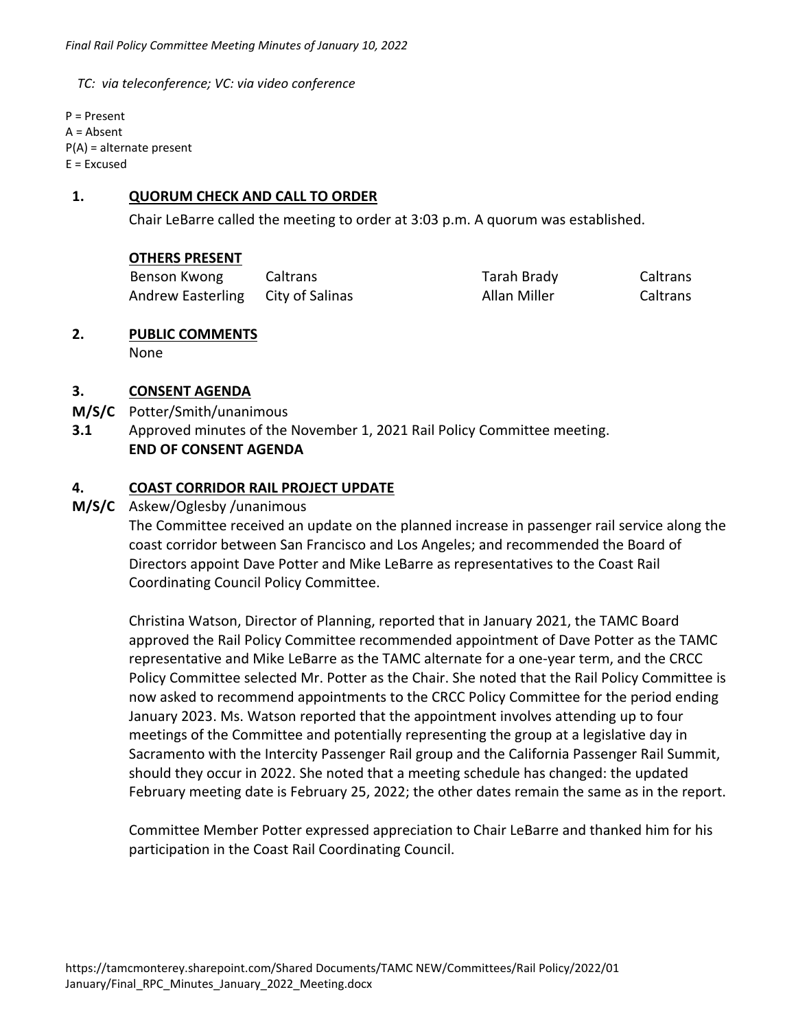*TC: via teleconference; VC: via video conference* 

P = Present A = Absent P(A) = alternate present  $E = Excused$ 

#### **1. QUORUM CHECK AND CALL TO ORDER**

Chair LeBarre called the meeting to order at 3:03 p.m. A quorum was established.

#### **OTHERS PRESENT**

| Benson Kwong             | Caltrans        | Tarah Brady  | Caltrans |
|--------------------------|-----------------|--------------|----------|
| <b>Andrew Easterling</b> | City of Salinas | Allan Miller | Caltrans |

# **2. PUBLIC COMMENTS**

None

#### **3. CONSENT AGENDA**

- **M/S/C**  Potter/Smith/unanimous
- **3.1**  Approved minutes of the November 1, 2021 Rail Policy Committee meeting.  **END OF CONSENT AGENDA**

#### **4. COAST CORRIDOR RAIL PROJECT UPDATE**

#### **M/S/C**  Askew/Oglesby /unanimous

 The Committee received an update on the planned increase in passenger rail service along the coast corridor between San Francisco and Los Angeles; and recommended the Board of Directors appoint Dave Potter and Mike LeBarre as representatives to the Coast Rail Coordinating Council Policy Committee.

Christina Watson, Director of Planning, reported that in January 2021, the TAMC Board approved the Rail Policy Committee recommended appointment of Dave Potter as the TAMC representative and Mike LeBarre as the TAMC alternate for a one‐year term, and the CRCC Policy Committee selected Mr. Potter as the Chair. She noted that the Rail Policy Committee is now asked to recommend appointments to the CRCC Policy Committee for the period ending January 2023. Ms. Watson reported that the appointment involves attending up to four meetings of the Committee and potentially representing the group at a legislative day in Sacramento with the Intercity Passenger Rail group and the California Passenger Rail Summit, should they occur in 2022. She noted that a meeting schedule has changed: the updated February meeting date is February 25, 2022; the other dates remain the same as in the report.

Committee Member Potter expressed appreciation to Chair LeBarre and thanked him for his participation in the Coast Rail Coordinating Council.